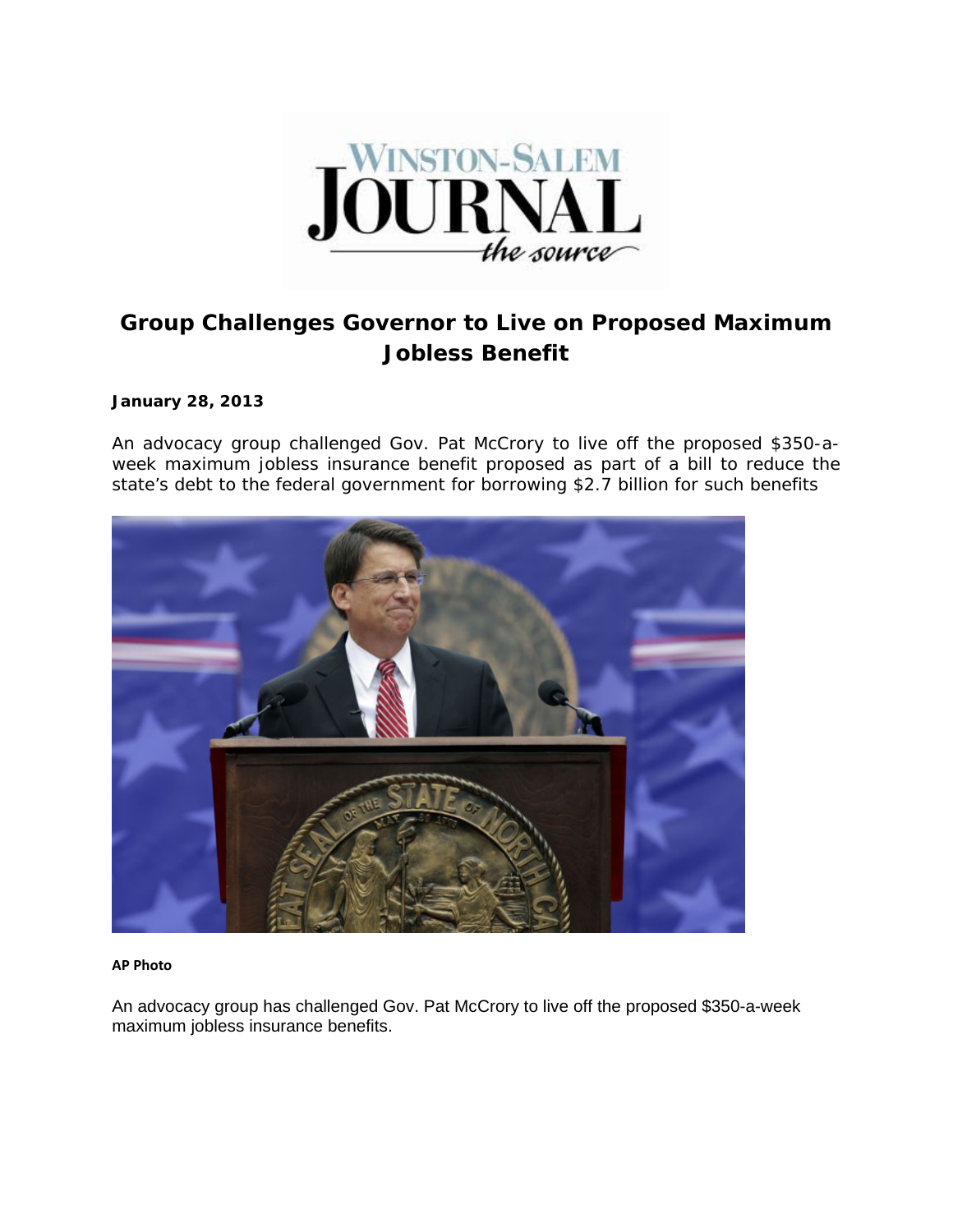

## **Group Challenges Governor to Live on Proposed Maximum Jobless Benefit**

## **January 28, 2013**

An advocacy group challenged Gov. Pat McCrory to live off the proposed \$350-aweek maximum jobless insurance benefit proposed as part of a bill to reduce the state's debt to the federal government for borrowing \$2.7 billion for such benefits



## **AP Photo**

An advocacy group has challenged Gov. Pat McCrory to live off the proposed \$350-a-week maximum jobless insurance benefits.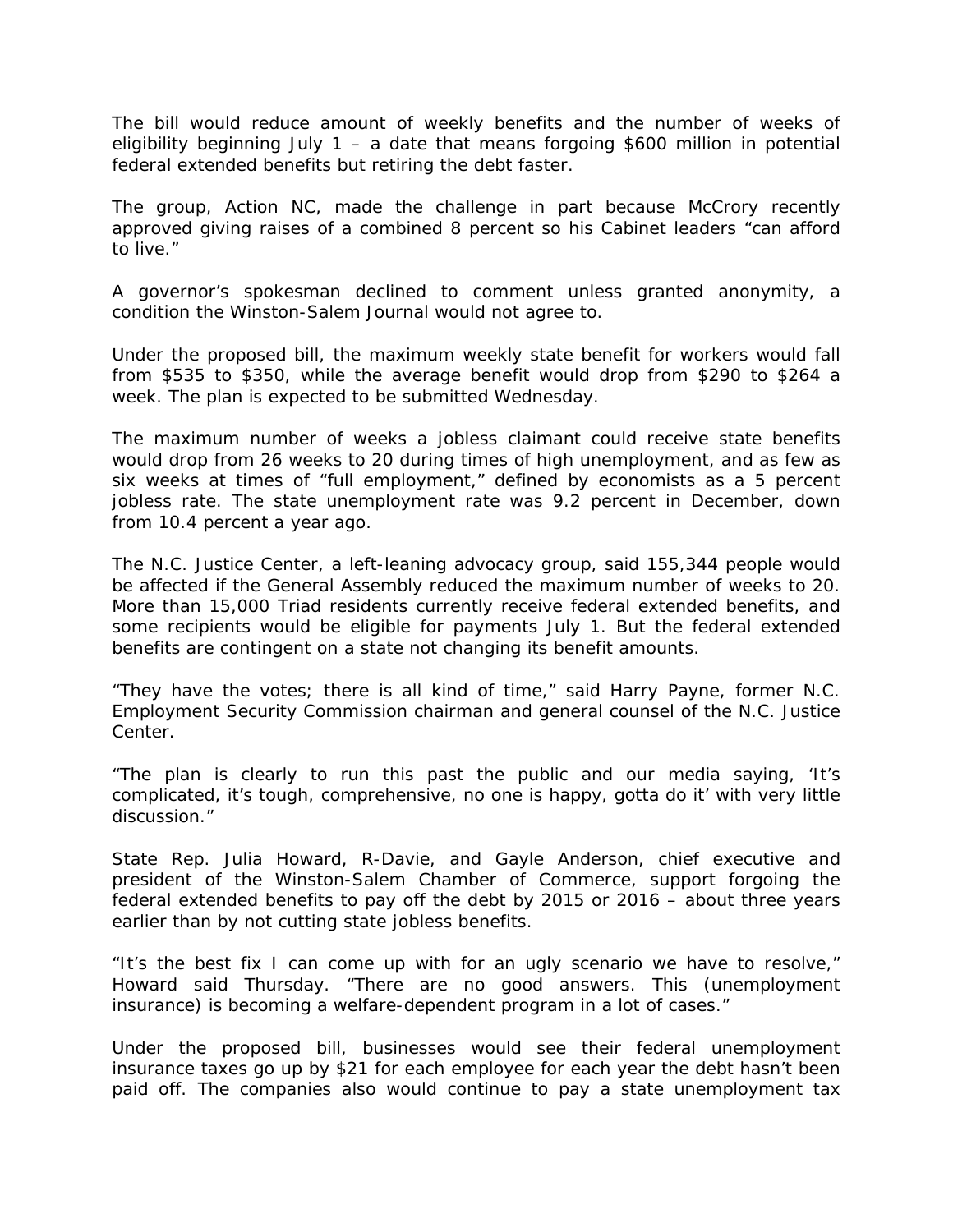The bill would reduce amount of weekly benefits and the number of weeks of eligibility beginning July 1 – a date that means forgoing \$600 million in potential federal extended benefits but retiring the debt faster.

The group, Action NC, made the challenge in part because McCrory recently approved giving raises of a combined 8 percent so his Cabinet leaders "can afford to live."

A governor's spokesman declined to comment unless granted anonymity, a condition the Winston-Salem Journal would not agree to.

Under the proposed bill, the maximum weekly state benefit for workers would fall from \$535 to \$350, while the average benefit would drop from \$290 to \$264 a week. The plan is expected to be submitted Wednesday.

The maximum number of weeks a jobless claimant could receive state benefits would drop from 26 weeks to 20 during times of high unemployment, and as few as six weeks at times of "full employment," defined by economists as a 5 percent jobless rate. The state unemployment rate was 9.2 percent in December, down from 10.4 percent a year ago.

The N.C. Justice Center, a left-leaning advocacy group, said 155,344 people would be affected if the General Assembly reduced the maximum number of weeks to 20. More than 15,000 Triad residents currently receive federal extended benefits, and some recipients would be eligible for payments July 1. But the federal extended benefits are contingent on a state not changing its benefit amounts.

"They have the votes; there is all kind of time," said Harry Payne, former N.C. Employment Security Commission chairman and general counsel of the N.C. Justice Center.

"The plan is clearly to run this past the public and our media saying, 'It's complicated, it's tough, comprehensive, no one is happy, gotta do it' with very little discussion."

State Rep. Julia Howard, R-Davie, and Gayle Anderson, chief executive and president of the Winston-Salem Chamber of Commerce, support forgoing the federal extended benefits to pay off the debt by 2015 or 2016 – about three years earlier than by not cutting state jobless benefits.

"It's the best fix I can come up with for an ugly scenario we have to resolve," Howard said Thursday. "There are no good answers. This (unemployment insurance) is becoming a welfare-dependent program in a lot of cases."

Under the proposed bill, businesses would see their federal unemployment insurance taxes go up by \$21 for each employee for each year the debt hasn't been paid off. The companies also would continue to pay a state unemployment tax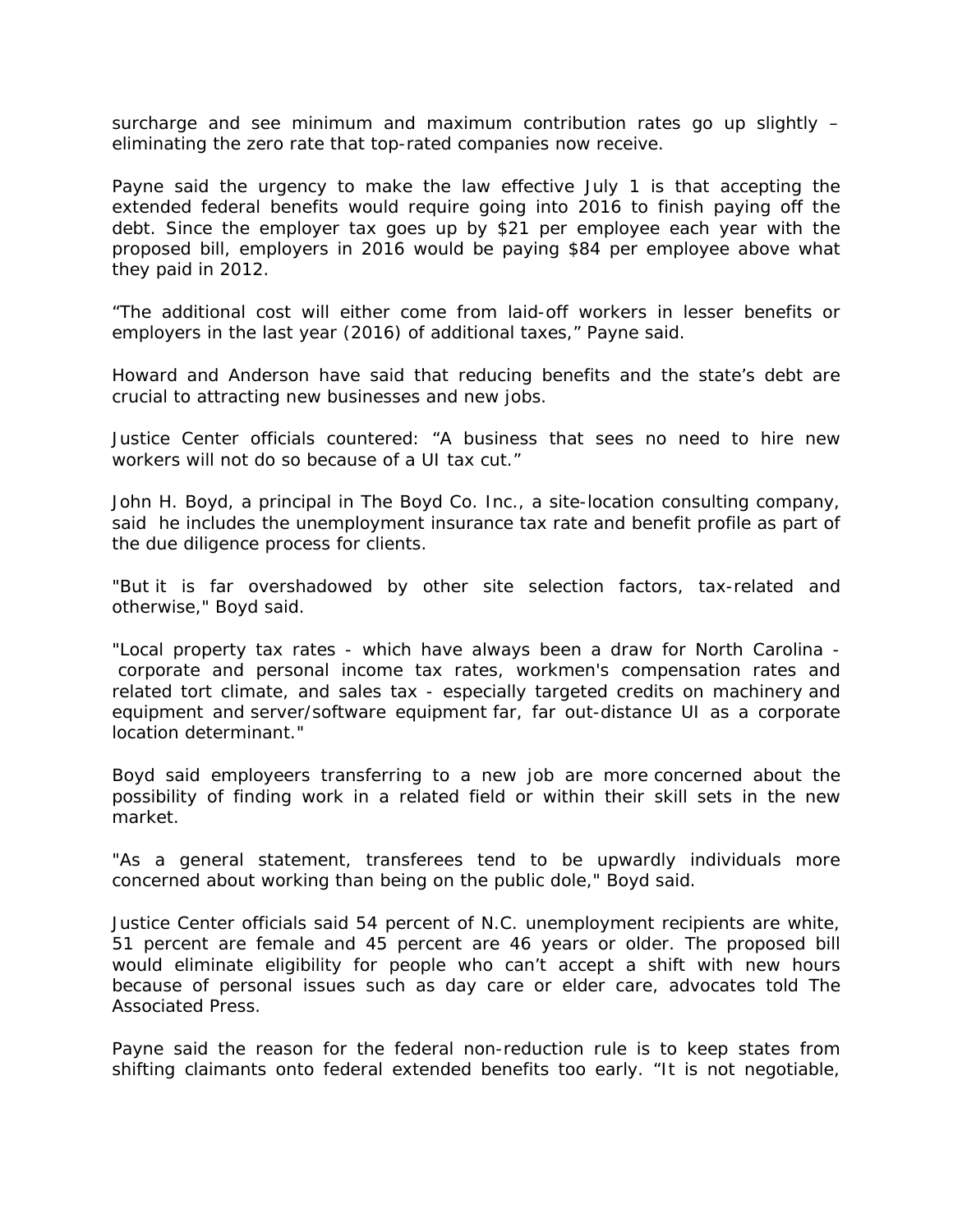surcharge and see minimum and maximum contribution rates go up slightly – eliminating the zero rate that top-rated companies now receive.

Payne said the urgency to make the law effective July 1 is that accepting the extended federal benefits would require going into 2016 to finish paying off the debt. Since the employer tax goes up by \$21 per employee each year with the proposed bill, employers in 2016 would be paying \$84 per employee above what they paid in 2012.

"The additional cost will either come from laid-off workers in lesser benefits or employers in the last year (2016) of additional taxes," Payne said.

Howard and Anderson have said that reducing benefits and the state's debt are crucial to attracting new businesses and new jobs.

Justice Center officials countered: "A business that sees no need to hire new workers will not do so because of a UI tax cut."

John H. Boyd, a principal in The Boyd Co. Inc., a site-location consulting company, said he includes the unemployment insurance tax rate and benefit profile as part of the due diligence process for clients.

"But it is far overshadowed by other site selection factors, tax-related and otherwise," Boyd said.

"Local property tax rates - which have always been a draw for North Carolina corporate and personal income tax rates, workmen's compensation rates and related tort climate, and sales tax - especially targeted credits on machinery and equipment and server/software equipment far, far out-distance UI as a corporate location determinant."

Boyd said employeers transferring to a new job are more concerned about the possibility of finding work in a related field or within their skill sets in the new market.

"As a general statement, transferees tend to be upwardly individuals more concerned about working than being on the public dole," Boyd said.

Justice Center officials said 54 percent of N.C. unemployment recipients are white, 51 percent are female and 45 percent are 46 years or older. The proposed bill would eliminate eligibility for people who can't accept a shift with new hours because of personal issues such as day care or elder care, advocates told The Associated Press.

Payne said the reason for the federal non-reduction rule is to keep states from shifting claimants onto federal extended benefits too early. "It is not negotiable,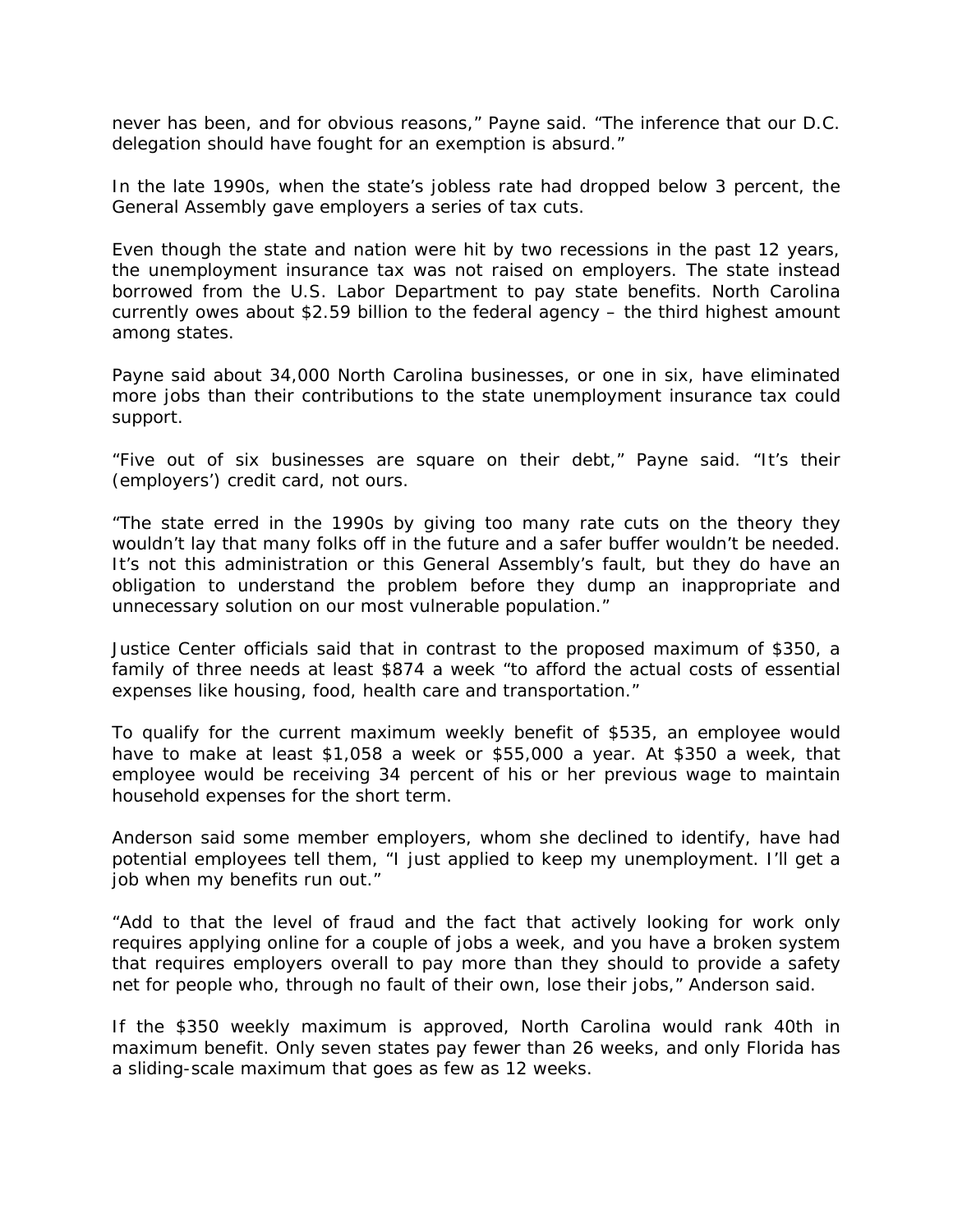never has been, and for obvious reasons," Payne said. "The inference that our D.C. delegation should have fought for an exemption is absurd."

In the late 1990s, when the state's jobless rate had dropped below 3 percent, the General Assembly gave employers a series of tax cuts.

Even though the state and nation were hit by two recessions in the past 12 years, the unemployment insurance tax was not raised on employers. The state instead borrowed from the U.S. Labor Department to pay state benefits. North Carolina currently owes about \$2.59 billion to the federal agency – the third highest amount among states.

Payne said about 34,000 North Carolina businesses, or one in six, have eliminated more jobs than their contributions to the state unemployment insurance tax could support.

"Five out of six businesses are square on their debt," Payne said. "It's their (employers') credit card, not ours.

"The state erred in the 1990s by giving too many rate cuts on the theory they wouldn't lay that many folks off in the future and a safer buffer wouldn't be needed. It's not this administration or this General Assembly's fault, but they do have an obligation to understand the problem before they dump an inappropriate and unnecessary solution on our most vulnerable population."

Justice Center officials said that in contrast to the proposed maximum of \$350, a family of three needs at least \$874 a week "to afford the actual costs of essential expenses like housing, food, health care and transportation."

To qualify for the current maximum weekly benefit of \$535, an employee would have to make at least \$1,058 a week or \$55,000 a year. At \$350 a week, that employee would be receiving 34 percent of his or her previous wage to maintain household expenses for the short term.

Anderson said some member employers, whom she declined to identify, have had potential employees tell them, "I just applied to keep my unemployment. I'll get a job when my benefits run out."

"Add to that the level of fraud and the fact that actively looking for work only requires applying online for a couple of jobs a week, and you have a broken system that requires employers overall to pay more than they should to provide a safety net for people who, through no fault of their own, lose their jobs," Anderson said.

If the \$350 weekly maximum is approved, North Carolina would rank 40th in maximum benefit. Only seven states pay fewer than 26 weeks, and only Florida has a sliding-scale maximum that goes as few as 12 weeks.